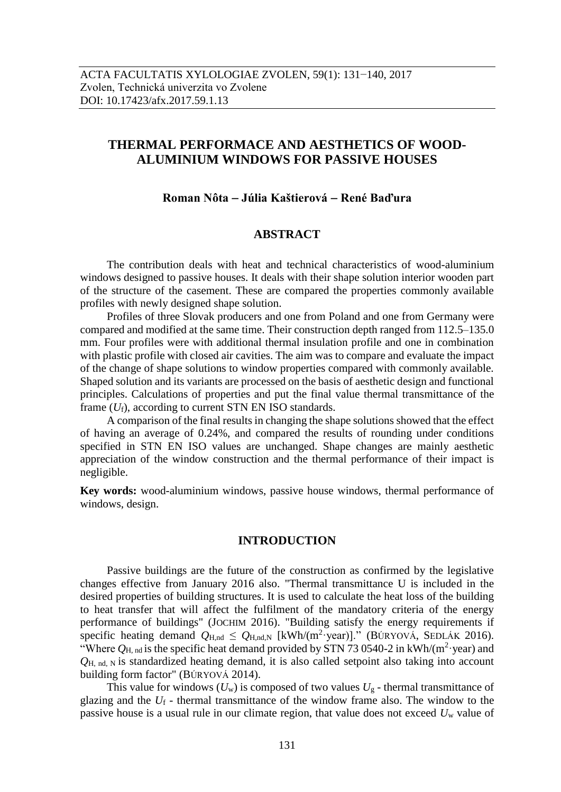# **THERMAL PERFORMACE AND AESTHETICS OF WOOD-ALUMINIUM WINDOWS FOR PASSIVE HOUSES**

## **Roman Nôta Júlia Kaštierová René Baďura**

# **ABSTRACT**

The contribution deals with heat and technical characteristics of wood-aluminium windows designed to passive houses. It deals with their shape solution interior wooden part of the structure of the casement. These are compared the properties commonly available profiles with newly designed shape solution.

Profiles of three Slovak producers and one from Poland and one from Germany were compared and modified at the same time. Their construction depth ranged from 112.5–135.0 mm. Four profiles were with additional thermal insulation profile and one in combination with plastic profile with closed air cavities. The aim was to compare and evaluate the impact of the change of shape solutions to window properties compared with commonly available. Shaped solution and its variants are processed on the basis of aesthetic design and functional principles. Calculations of properties and put the final value thermal transmittance of the frame  $(U_f)$ , according to current STN EN ISO standards.

A comparison of the final results in changing the shape solutions showed that the effect of having an average of 0.24%, and compared the results of rounding under conditions specified in STN EN ISO values are unchanged. Shape changes are mainly aesthetic appreciation of the window construction and the thermal performance of their impact is negligible.

**Key words:** wood-aluminium windows, passive house windows, thermal performance of windows, design.

#### **INTRODUCTION**

Passive buildings are the future of the construction as confirmed by the legislative changes effective from January 2016 also. "Thermal transmittance U is included in the desired properties of building structures. It is used to calculate the heat loss of the building to heat transfer that will affect the fulfilment of the mandatory criteria of the energy performance of buildings" (JOCHIM 2016). "Building satisfy the energy requirements if specific heating demand  $Q_{H,nd} \leq Q_{H,nd,N}$  [kWh/(m<sup>2</sup>·year)]." (BÚRYOVÁ, SEDLÁK 2016). "Where  $Q_{\text{H, nd}}$  is the specific heat demand provided by STN 73 0540-2 in kWh/(m<sup>2</sup>·year) and *Q*H, nd, N is standardized heating demand, it is also called setpoint also taking into account building form factor" (BÚRYOVÁ 2014).

This value for windows  $(U_w)$  is composed of two values  $U_g$  - thermal transmittance of glazing and the *U*<sup>f</sup> - thermal transmittance of the window frame also. The window to the passive house is a usual rule in our climate region, that value does not exceed *U*<sup>w</sup> value of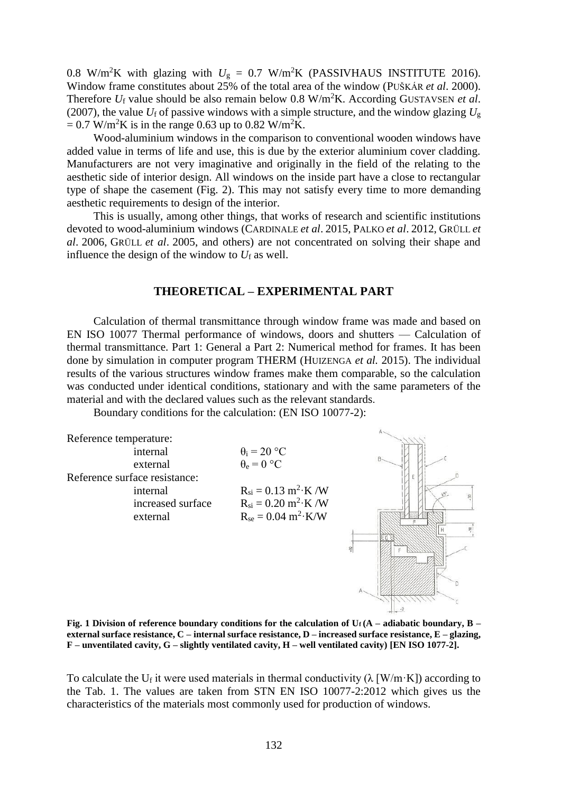0.8 W/m<sup>2</sup>K with glazing with  $U_g = 0.7$  W/m<sup>2</sup>K (PASSIVHAUS INSTITUTE 2016). Window frame constitutes about 25% of the total area of the window (PUŠKÁR *et al*. 2000). Therefore *U*<sup>f</sup> value should be also remain below 0.8 W/m<sup>2</sup>K. According GUSTAVSEN *et al*. (2007), the value  $U_f$  of passive windows with a simple structure, and the window glazing  $U_g$  $= 0.7$  W/m<sup>2</sup>K is in the range 0.63 up to 0.82 W/m<sup>2</sup>K.

Wood-aluminium windows in the comparison to conventional wooden windows have added value in terms of life and use, this is due by the exterior aluminium cover cladding. Manufacturers are not very imaginative and originally in the field of the relating to the aesthetic side of interior design. All windows on the inside part have a close to rectangular type of shape the casement (Fig. 2). This may not satisfy every time to more demanding aesthetic requirements to design of the interior.

This is usually, among other things, that works of research and scientific institutions devoted to wood-aluminium windows (CARDINALE *et al*. 2015, PALKO *et al*. 2012, GRÜLL *et al*. 2006, GRÜLL *et al*. 2005, and others) are not concentrated on solving their shape and influence the design of the window to  $U_f$  as well.

## **THEORETICAL – EXPERIMENTAL PART**

Calculation of thermal transmittance through window frame was made and based on EN ISO 10077 Thermal performance of windows, doors and shutters — Calculation of thermal transmittance. Part 1: General a Part 2: Numerical method for frames. It has been done by simulation in computer program THERM (HUIZENGA *et al.* 2015). The individual results of the various structures window frames make them comparable, so the calculation was conducted under identical conditions, stationary and with the same parameters of the material and with the declared values such as the relevant standards.

Boundary conditions for the calculation: (EN ISO 10077-2):



**Fig. 1 Division of reference boundary conditions for the calculation of Uf (A – adiabatic boundary, B – external surface resistance, C – internal surface resistance, D – increased surface resistance, E – glazing, F – unventilated cavity, G – slightly ventilated cavity, H – well ventilated cavity) [EN ISO 1077-2].**

To calculate the U<sub>f</sub> it were used materials in thermal conductivity ( $\lambda$  [W/m·K]) according to the Tab. 1. The values are taken from STN EN ISO 10077-2:2012 which gives us the characteristics of the materials most commonly used for production of windows.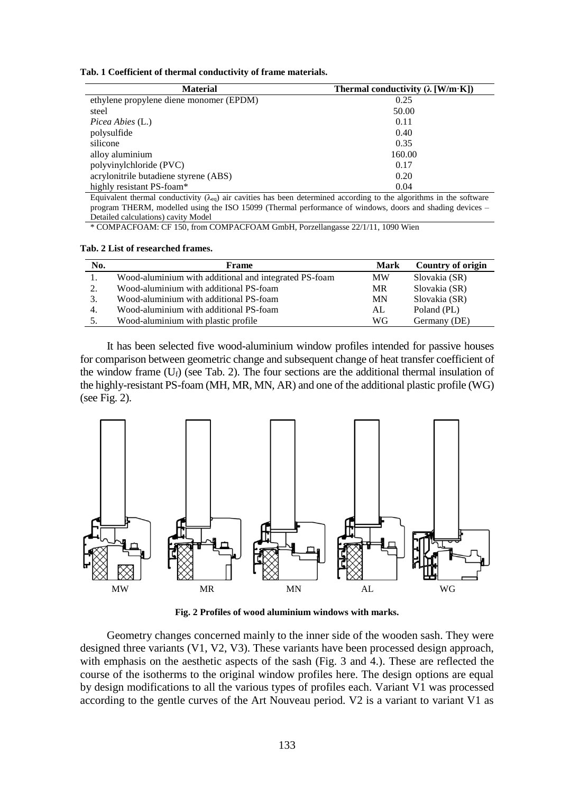|  |  |  |  | Tab. 1 Coefficient of thermal conductivity of frame materials. |  |  |  |
|--|--|--|--|----------------------------------------------------------------|--|--|--|
|--|--|--|--|----------------------------------------------------------------|--|--|--|

| <b>Material</b>                         | Thermal conductivity $(\lambda \text{ [W/m·K]})$ |
|-----------------------------------------|--------------------------------------------------|
| ethylene propylene diene monomer (EPDM) | 0.25                                             |
| steel                                   | 50.00                                            |
| Picea Abies (L.)                        | 0.11                                             |
| polysulfide                             | 0.40                                             |
| silicone                                | 0.35                                             |
| alloy aluminium                         | 160.00                                           |
| polyvinylchloride (PVC)                 | 0.17                                             |
| acrylonitrile butadiene styrene (ABS)   | 0.20                                             |
| highly resistant PS-foam*               | 0.04                                             |

Equivalent thermal conductivity ( $\lambda_{eq}$ ) air cavities has been determined according to the algorithms in the software program THERM, modelled using the ISO 15099 (Thermal performance of windows, doors and shading devices – Detailed calculations) cavity Model

\* COMPACFOAM: CF 150, from COMPACFOAM GmbH, Porzellangasse 22/1/11, 1090 Wien

**Tab. 2 List of researched frames.** 

| No.      | Frame                                                 | Mark | Country of origin |
|----------|-------------------------------------------------------|------|-------------------|
|          | Wood-aluminium with additional and integrated PS-foam | MW   | Slovakia (SR)     |
| $\gamma$ | Wood-aluminium with additional PS-foam                | MR   | Slovakia (SR)     |
| 3.       | Wood-aluminium with additional PS-foam                | MN   | Slovakia (SR)     |
| 4.       | Wood-aluminium with additional PS-foam                | AL   | Poland (PL)       |
| 5.       | Wood-aluminium with plastic profile                   | WG   | Germany (DE)      |

It has been selected five wood-aluminium window profiles intended for passive houses for comparison between geometric change and subsequent change of heat transfer coefficient of the window frame  $(U_f)$  (see Tab. 2). The four sections are the additional thermal insulation of the highly-resistant PS-foam (MH, MR, MN, AR) and one of the additional plastic profile (WG) (see Fig. 2).



**Fig. 2 Profiles of wood aluminium windows with marks.**

Geometry changes concerned mainly to the inner side of the wooden sash. They were designed three variants (V1, V2, V3). These variants have been processed design approach, with emphasis on the aesthetic aspects of the sash (Fig. 3 and 4.). These are reflected the course of the isotherms to the original window profiles here. The design options are equal by design modifications to all the various types of profiles each. Variant V1 was processed according to the gentle curves of the Art Nouveau period. V2 is a variant to variant V1 as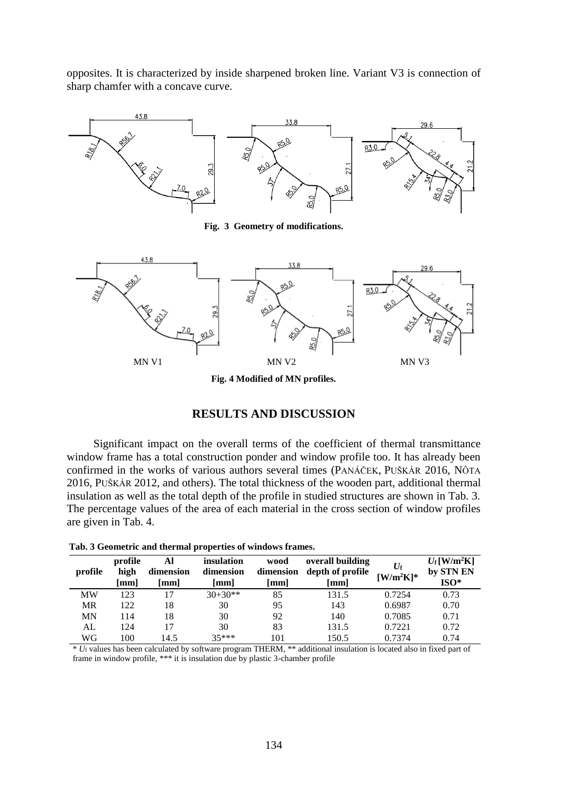opposites. It is characterized by inside sharpened broken line. Variant V3 is connection of sharp chamfer with a concave curve.



**Fig. 3 Geometry of modifications.**



**Fig. 4 Modified of MN profiles.**

## **RESULTS AND DISCUSSION**

Significant impact on the overall terms of the coefficient of thermal transmittance window frame has a total construction ponder and window profile too. It has already been confirmed in the works of various authors several times (PANÁČEK, PUŠKÁR 2016, NÔTA 2016, PUŠKÁR 2012, and others). The total thickness of the wooden part, additional thermal insulation as well as the total depth of the profile in studied structures are shown in Tab. 3. The percentage values of the area of each material in the cross section of window profiles are given in Tab. 4.

| profile   | profile<br>high<br>$\lceil$ mm $\rceil$ | Al<br>dimension<br>$\lceil$ mm $\rceil$ | insulation<br>dimension<br>mm | wood<br>dimension<br>[mm] | overall building<br>depth of profile<br>[mm] | $U_{\rm f}$<br>$[W/m^2K]^*$ | $U_{\rm f}$ [W/m <sup>2</sup> K]<br>by STN EN<br>$ISO*$ |
|-----------|-----------------------------------------|-----------------------------------------|-------------------------------|---------------------------|----------------------------------------------|-----------------------------|---------------------------------------------------------|
| MW        | 123                                     | 17                                      | $30+30**$                     | 85                        | 131.5                                        | 0.7254                      | 0.73                                                    |
| <b>MR</b> | 122                                     | 18                                      | 30                            | 95                        | 143                                          | 0.6987                      | 0.70                                                    |
| MN        | 114                                     | 18                                      | 30                            | 92                        | 140                                          | 0.7085                      | 0.71                                                    |
| AL        | 124                                     | 17                                      | 30                            | 83                        | 131.5                                        | 0.7221                      | 0.72                                                    |
| WG        | 100                                     | 14.5                                    | $35***$                       | 101                       | 150.5                                        | 0.7374                      | 0.74                                                    |

**Tab. 3 Geometric and thermal properties of windows frames.**

\* *U*<sup>f</sup> values has been calculated by software program THERM, \*\* additional insulation is located also in fixed part of frame in window profile, \*\*\* it is insulation due by plastic 3-chamber profile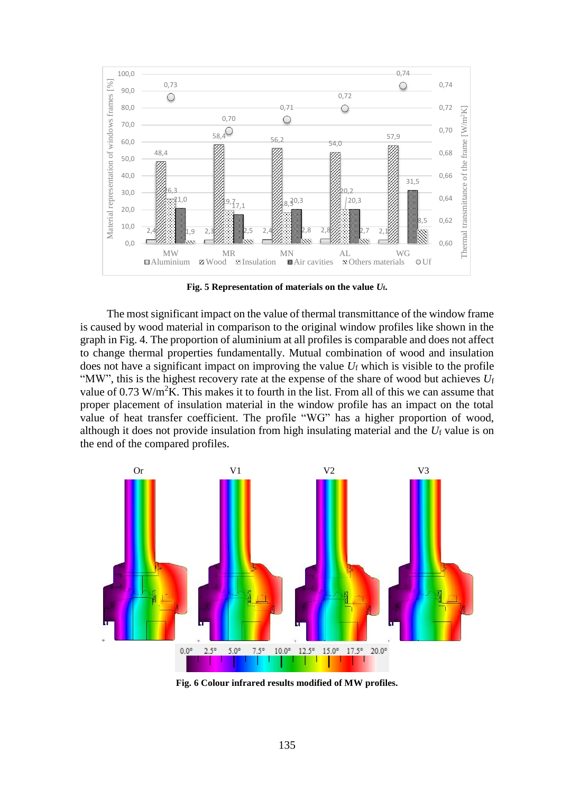

**Fig. 5 Representation of materials on the value** *U***f.**

The most significant impact on the value of thermal transmittance of the window frame is caused by wood material in comparison to the original window profiles like shown in the graph in Fig. 4. The proportion of aluminium at all profiles is comparable and does not affect to change thermal properties fundamentally. Mutual combination of wood and insulation does not have a significant impact on improving the value *U*<sup>f</sup> which is visible to the profile "MW", this is the highest recovery rate at the expense of the share of wood but achieves *U*<sup>f</sup> value of 0.73 W/m<sup>2</sup>K. This makes it to fourth in the list. From all of this we can assume that proper placement of insulation material in the window profile has an impact on the total value of heat transfer coefficient. The profile "WG" has a higher proportion of wood, although it does not provide insulation from high insulating material and the  $U_f$  value is on the end of the compared profiles.



**Fig. 6 Colour infrared results modified of MW profiles.**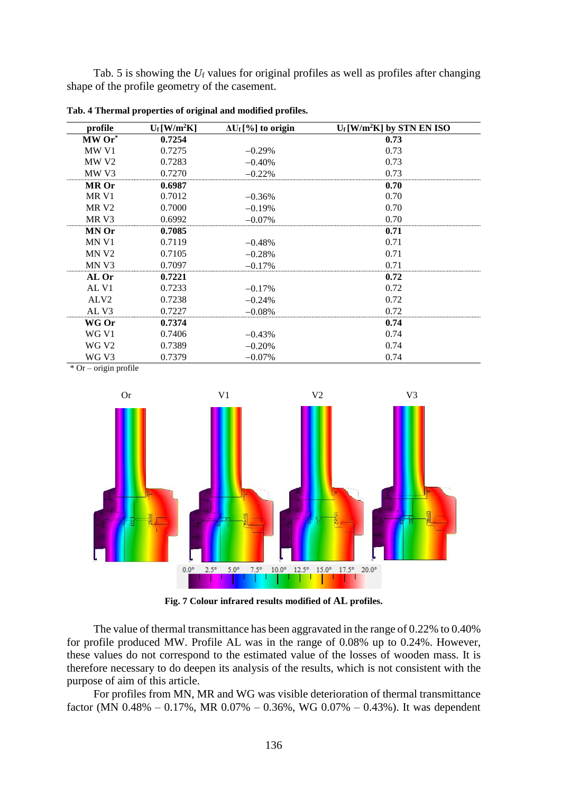Tab. 5 is showing the *U*<sup>f</sup> values for original profiles as well as profiles after changing shape of the profile geometry of the casement.

| profile           | $U_f$ [W/m <sup>2</sup> K] | $\Delta U_f$ [%] to origin | $U_f$ [W/m <sup>2</sup> K] by STN EN ISO |
|-------------------|----------------------------|----------------------------|------------------------------------------|
| MW Or*            | 0.7254                     |                            | 0.73                                     |
| MW V1             | 0.7275                     | $-0.29%$                   | 0.73                                     |
| MW <sub>V2</sub>  | 0.7283                     | $-0.40%$                   | 0.73                                     |
| MW <sub>V3</sub>  | 0.7270                     | $-0.22%$                   | 0.73                                     |
| <b>MR</b> Or      | 0.6987                     |                            | 0.70                                     |
| MR V1             | 0.7012                     | $-0.36%$                   | 0.70                                     |
| MR <sub>V2</sub>  | 0.7000                     | $-0.19%$                   | 0.70                                     |
| MR V3             | 0.6992                     | $-0.07\%$                  | 0.70                                     |
| <b>MN Or</b>      | 0.7085                     |                            | 0.71                                     |
| MN V1             | 0.7119                     | $-0.48%$                   | 0.71                                     |
| MN <sub>V2</sub>  | 0.7105                     | $-0.28%$                   | 0.71                                     |
| MN <sub>V3</sub>  | 0.7097                     | $-0.17%$                   | 0.71                                     |
| AL Or             | 0.7221                     |                            | 0.72                                     |
| AL V1             | 0.7233                     | $-0.17%$                   | 0.72                                     |
| ALV <sub>2</sub>  | 0.7238                     | $-0.24%$                   | 0.72                                     |
| AL <sub>V3</sub>  | 0.7227                     | $-0.08%$                   | 0.72                                     |
| WG Or             | 0.7374                     |                            | 0.74                                     |
| WG V1             | 0.7406                     | $-0.43%$                   | 0.74                                     |
| WG V <sub>2</sub> | 0.7389                     | $-0.20%$                   | 0.74                                     |
| WG V3             | 0.7379                     | $-0.07%$                   | 0.74                                     |

**Tab. 4 Thermal properties of original and modified profiles.**

\* Or – origin profile



**Fig. 7 Colour infrared results modified of AL profiles.**

The value of thermal transmittance has been aggravated in the range of 0.22% to 0.40% for profile produced MW. Profile AL was in the range of 0.08% up to 0.24%. However, these values do not correspond to the estimated value of the losses of wooden mass. It is therefore necessary to do deepen its analysis of the results, which is not consistent with the purpose of aim of this article.

For profiles from MN, MR and WG was visible deterioration of thermal transmittance factor (MN 0.48% – 0.17%, MR 0.07% – 0.36%, WG 0.07% – 0.43%). It was dependent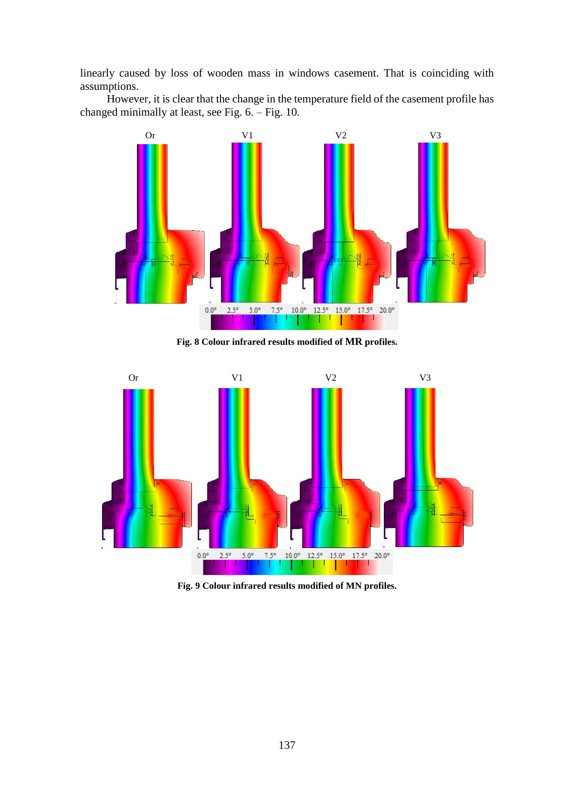linearly caused by loss of wooden mass in windows casement. That is coinciding with assumptions.

However, it is clear that the change in the temperature field of the casement profile has changed minimally at least, see Fig. 6. – Fig. 10.



**Fig. 8 Colour infrared results modified of MR profiles.**



**Fig. 9 Colour infrared results modified of MN profiles.**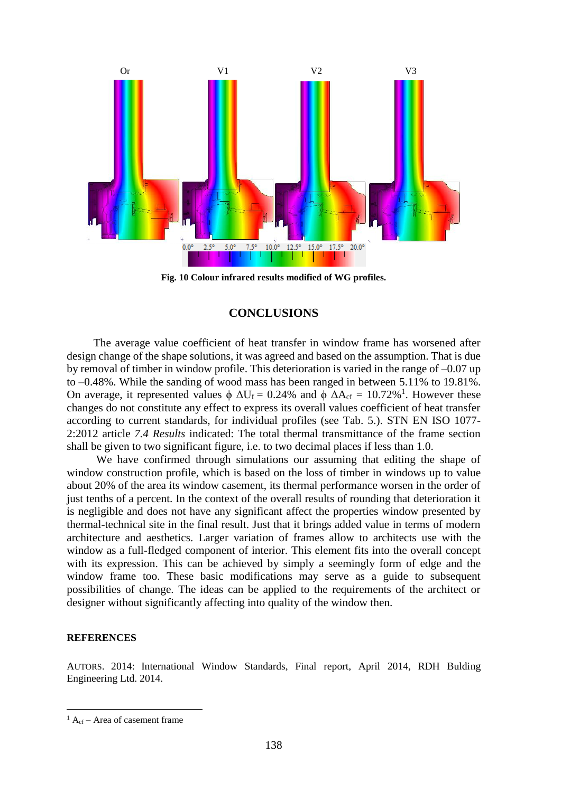

**Fig. 10 Colour infrared results modified of WG profiles.**

## **CONCLUSIONS**

The average value coefficient of heat transfer in window frame has worsened after design change of the shape solutions, it was agreed and based on the assumption. That is due by removal of timber in window profile. This deterioration is varied in the range of –0.07 up to –0.48%. While the sanding of wood mass has been ranged in between 5.11% to 19.81%. On average, it represented values  $\phi \Delta U_f = 0.24\%$  and  $\phi \Delta A_{cf} = 10.72\%$ <sup>1</sup>. However these changes do not constitute any effect to express its overall values coefficient of heat transfer according to current standards, for individual profiles (see Tab. 5.). STN EN ISO 1077- 2:2012 article *7.4 Results* indicated: The total thermal transmittance of the frame section shall be given to two significant figure, i.e. to two decimal places if less than 1.0.

We have confirmed through simulations our assuming that editing the shape of window construction profile, which is based on the loss of timber in windows up to value about 20% of the area its window casement, its thermal performance worsen in the order of just tenths of a percent. In the context of the overall results of rounding that deterioration it is negligible and does not have any significant affect the properties window presented by thermal-technical site in the final result. Just that it brings added value in terms of modern architecture and aesthetics. Larger variation of frames allow to architects use with the window as a full-fledged component of interior. This element fits into the overall concept with its expression. This can be achieved by simply a seemingly form of edge and the window frame too. These basic modifications may serve as a guide to subsequent possibilities of change. The ideas can be applied to the requirements of the architect or designer without significantly affecting into quality of the window then.

#### **REFERENCES**

l

AUTORS. 2014: International Window Standards, Final report, April 2014, RDH Bulding Engineering Ltd. 2014.

 ${}^{1}$  A<sub>cf</sub> – Area of casement frame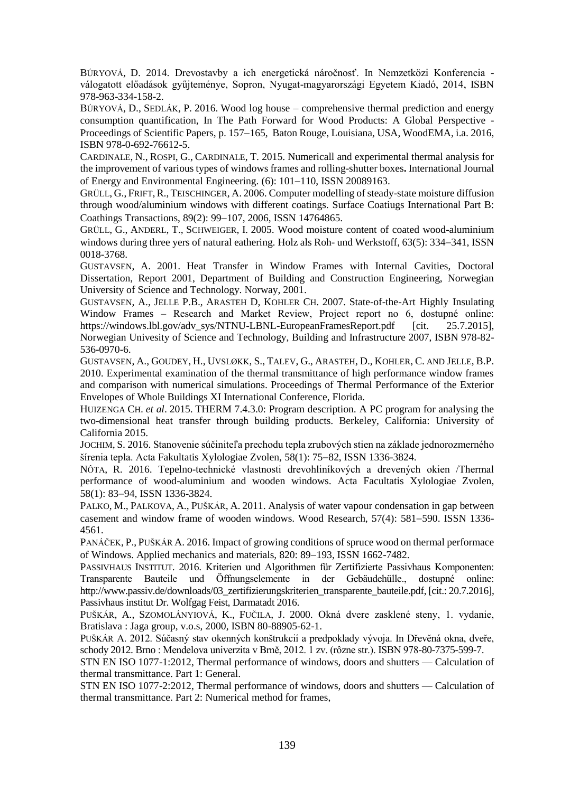BÚRYOVÁ, D. 2014. Drevostavby a ich energetická náročnosť. In Nemzetközi Konferencia válogatott előadások gyűjteménye, Sopron, Nyugat-magyarországi Egyetem Kiadó, 2014, ISBN 978-963-334-158-2.

BÚRYOVÁ, D., SEDLÁK, P. 2016. Wood log house – comprehensive thermal prediction and energy consumption quantification, In The Path Forward for Wood Products: A Global Perspective - Proceedings of Scientific Papers, p. 157–165, Baton Rouge, Louisiana, USA, WoodEMA, i.a. 2016, ISBN 978-0-692-76612-5.

CARDINALE, N., ROSPI, G., CARDINALE, T. 2015. Numericall and experimental thermal analysis for the improvement of various types of windows frames and rolling-shutter boxes**.** International Journal of Energy and Environmental Engineering.  $(6)$ : 101–110, ISSN 20089163.

GRÜLL, G., FRIFT,R., TEISCHINGER, A. 2006. Computer modelling of steady-state moisture diffusion through wood/aluminium windows with different coatings. Surface Coatiugs International Part B: Coathings Transactions, 89(2): 99-107, 2006, ISSN 14764865.

GRÜLL, G., ANDERL, T., SCHWEIGER, I. 2005. Wood moisture content of coated wood-aluminium windows during three yers of natural eathering. Holz als Roh- und Werkstoff,  $63(5)$ :  $334-341$ , ISSN 0018-3768.

GUSTAVSEN, A. 2001. Heat Transfer in Window Frames with Internal Cavities, Doctoral Dissertation, Report 2001, Department of Building and Construction Engineering, Norwegian University of Science and Technology. Norway, 2001.

GUSTAVSEN, A., JELLE P.B., ARASTEH D, KOHLER CH. 2007. State-of-the-Art Highly Insulating Window Frames – Research and Market Review, Project report no 6, dostupné online: https://windows.lbl.gov/adv\_sys/NTNU-LBNL-EuropeanFramesReport.pdf [cit. 25.7.2015], Norwegian Univesity of Science and Technology, Building and Infrastructure 2007, ISBN 978-82- 536-0970-6.

GUSTAVSEN, A., GOUDEY, H., UVSLØKK, S., TALEV, G., ARASTEH, D., KOHLER, C. AND JELLE, B.P. 2010. Experimental examination of the thermal transmittance of high performance window frames and comparison with numerical simulations. Proceedings of Thermal Performance of the Exterior Envelopes of Whole Buildings XI International Conference, Florida.

HUIZENGA CH. *et al*. 2015. THERM 7.4.3.0: Program description. A PC program for analysing the two-dimensional heat transfer through building products. Berkeley, California: University of California 2015.

JOCHIM, S. 2016. Stanovenie súčiniteľa prechodu tepla zrubových stien na základe jednorozmerného šírenia tepla. Acta Fakultatis Xylologiae Zvolen, 58(1): 75–82, ISSN 1336-3824.

NÔTA, R. 2016. Tepelno-technické vlastnosti drevohliníkových a drevených okien /Thermal performance of wood-aluminium and wooden windows. Acta Facultatis Xylologiae Zvolen, 58(1): 83-94, ISSN 1336-3824.

PALKO, M., PALKOVA, A., PUŠKÁR, A. 2011. Analysis of water vapour condensation in gap between casement and window frame of wooden windows. Wood Research, 57(4): 581-590. ISSN 1336-4561.

PANÁČEK, P., PUŠKÁR A. 2016. Impact of growing conditions of spruce wood on thermal performace of Windows. Applied mechanics and materials,  $820: 89-193$ , ISSN 1662-7482.

PASSIVHAUS INSTITUT. 2016. Kriterien und Algorithmen für Zertifizierte Passivhaus Komponenten: Transparente Bauteile und Öffnungselemente in der Gebäudehülle., dostupné online: http://www.passiv.de/downloads/03\_zertifizierungskriterien\_transparente\_bauteile.pdf, [cit.: 20.7.2016], Passivhaus institut Dr. Wolfgag Feist, Darmatadt 2016.

PUŠKÁR, A., SZOMOLÁNYIOVÁ, K., FUČILA, J. 2000. Okná dvere zasklené steny, 1. vydanie, Bratislava : Jaga group, v.o.s, 2000, ISBN 80-88905-62-1.

PUŠKÁR A. 2012. Súčasný stav okenných konštrukcií a predpoklady vývoja. In Dřevěná okna, dveře, schody 2012. Brno : Mendelova univerzita v Brně, 2012. 1 zv. (rôzne str.). ISBN 978-80-7375-599-7.

STN EN ISO 1077-1:2012, Thermal performance of windows, doors and shutters — Calculation of thermal transmittance. Part 1: General.

STN EN ISO 1077-2:2012, Thermal performance of windows, doors and shutters — Calculation of thermal transmittance. Part 2: Numerical method for frames,